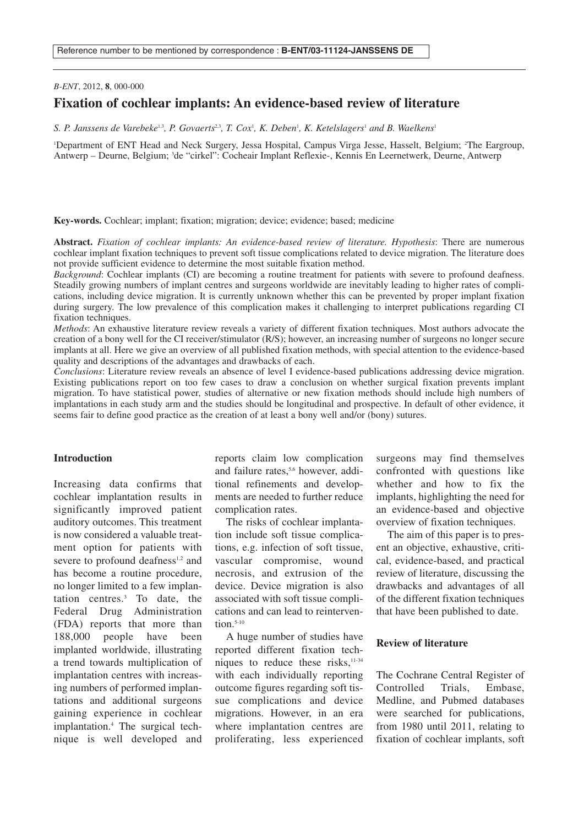### *B-ENT*, 2012, **8**, 000-000

# **Fixation of cochlear implants: An evidence-based review of literature**

S. P. Janssens de Varebeke<sup>1,3</sup>, P. Govaerts<sup>2,3</sup>, T. Cox<sup>1</sup>, K. Deben<sup>1</sup>, K. Ketelslagers<sup>1</sup> and B. Waelkens<sup>1</sup>

'Department of ENT Head and Neck Surgery, Jessa Hospital, Campus Virga Jesse, Hasselt, Belgium; <sup>2</sup>The Eargroup, Antwerp – Deurne, Belgium; <sup>3</sup> de "cirkel": Cocheair Implant Reflexie-, Kennis En Leernetwerk, Deurne, Antwerp

**Key-words.** Cochlear; implant; fixation; migration; device; evidence; based; medicine

**Abstract.** *Fixation of cochlear implants: An evidence-based review of literature. Hypothesis*: There are numerous cochlear implant fixation techniques to prevent soft tissue complications related to device migration. The literature does not provide sufficient evidence to determine the most suitable fixation method.

*Background*: Cochlear implants (CI) are becoming a routine treatment for patients with severe to profound deafness. Steadily growing numbers of implant centres and surgeons worldwide are inevitably leading to higher rates of complications, including device migration. It is currently unknown whether this can be prevented by proper implant fixation during surgery. The low prevalence of this complication makes it challenging to interpret publications regarding CI fixation techniques.

*Methods*: An exhaustive literature review reveals a variety of different fixation techniques. Most authors advocate the creation of a bony well for the CI receiver/stimulator (R/S); however, an increasing number of surgeons no longer secure implants at all. Here we give an overview of all published fixation methods, with special attention to the evidence-based quality and descriptions of the advantages and drawbacks of each.

*Conclusions*: Literature review reveals an absence of level I evidence-based publications addressing device migration. Existing publications report on too few cases to draw a conclusion on whether surgical fixation prevents implant migration. To have statistical power, studies of alternative or new fixation methods should include high numbers of implantations in each study arm and the studies should be longitudinal and prospective. In default of other evidence, it seems fair to define good practice as the creation of at least a bony well and/or (bony) sutures.

# **Introduction**

Increasing data confirms that cochlear implantation results in significantly improved patient auditory outcomes. This treatment is now considered a valuable treatment option for patients with severe to profound deafness<sup>1,2</sup> and has become a routine procedure, no longer limited to a few implantation centres. <sup>3</sup> To date, the Federal Drug Administration (FDA) reports that more than 188,000 people have been implanted worldwide, illustrating a trend towards multiplication of implantation centres with increasing numbers of performed implantations and additional surgeons gaining experience in cochlear implantation. <sup>4</sup> The surgical technique is well developed and reports claim low complication and failure rates,<sup>5,6</sup> however, additional refinements and developments are needed to further reduce complication rates.

The risks of cochlear implantation include soft tissue complications, e.g. infection of soft tissue, vascular compromise, wound necrosis, and extrusion of the device. Device migration is also associated with soft tissue complications and can lead to reintervention. 5-10

A huge number of studies have reported different fixation techniques to reduce these risks, 11-34 with each individually reporting outcome figures regarding soft tissue complications and device migrations. However, in an era where implantation centres are proliferating, less experienced surgeons may find themselves confronted with questions like whether and how to fix the implants, highlighting the need for an evidence-based and objective overview of fixation techniques.

The aim of this paper is to present an objective, exhaustive, critical, evidence-based, and practical review of literature, discussing the drawbacks and advantages of all of the different fixation techniques that have been published to date.

#### **Review of literature**

The Cochrane Central Register of Controlled Trials, Embase, Medline, and Pubmed databases were searched for publications, from 1980 until 2011, relating to fixation of cochlear implants, soft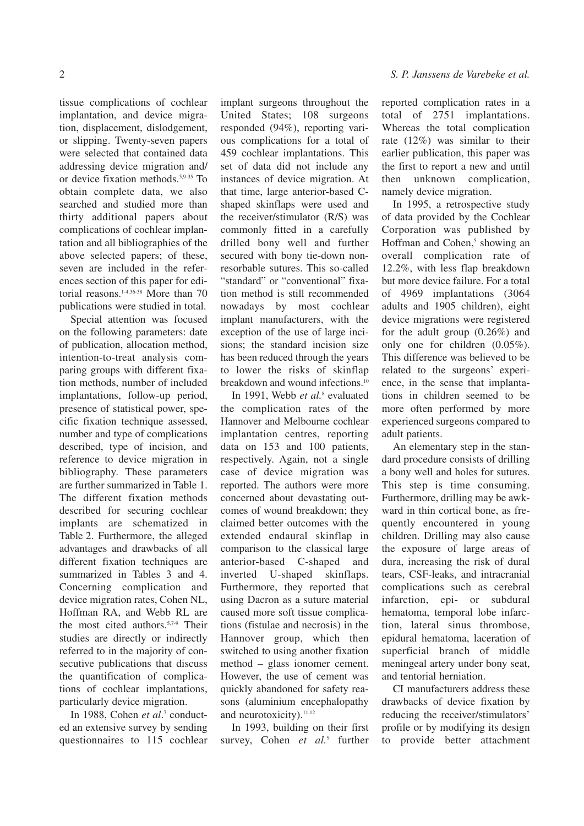tissue complications of cochlear implantation, and device migration, displacement, dislodgement, or slipping. Twenty-seven papers were selected that contained data addressing device migration and/ or device fixation methods. 5,9-35 To obtain complete data, we also searched and studied more than thirty additional papers about complications of cochlear implantation and all bibliographies of the above selected papers; of these, seven are included in the references section of this paper for editorial reasons. 1-4,36-38 More than 70 publications were studied in total.

Special attention was focused on the following parameters: date of publication, allocation method, intention-to-treat analysis comparing groups with different fixation methods, number of included implantations, follow-up period, presence of statistical power, specific fixation technique assessed, number and type of complications described, type of incision, and reference to device migration in bibliography. These parameters are further summarized in Table 1. The different fixation methods described for securing cochlear implants are schematized in Table 2. Furthermore, the alleged advantages and drawbacks of all different fixation techniques are summarized in Tables 3 and 4. Concerning complication and device migration rates, Cohen NL, Hoffman RA, and Webb RL are the most cited authors. 5,7-9 Their studies are directly or indirectly referred to in the majority of consecutive publications that discuss the quantification of complications of cochlear implantations, particularly device migration.

In 1988, Cohen *et al*. <sup>7</sup> conducted an extensive survey by sending questionnaires to 115 cochlear implant surgeons throughout the United States; 108 surgeons responded (94%), reporting various complications for a total of 459 cochlear implantations. This set of data did not include any instances of device migration. At that time, large anterior-based Cshaped skinflaps were used and the receiver/stimulator (R/S) was commonly fitted in a carefully drilled bony well and further secured with bony tie-down nonresorbable sutures. This so-called "standard" or "conventional" fixation method is still recommended nowadays by most cochlear implant manufacturers, with the exception of the use of large incisions; the standard incision size has been reduced through the years to lower the risks of skinflap breakdown and wound infections.<sup>10</sup>

In 1991, Webb *et al.* <sup>8</sup> evaluated the complication rates of the Hannover and Melbourne cochlear implantation centres, reporting data on 153 and 100 patients, respectively. Again, not a single case of device migration was reported. The authors were more concerned about devastating outcomes of wound breakdown; they claimed better outcomes with the extended endaural skinflap in comparison to the classical large anterior-based C-shaped and inverted U-shaped skinflaps. Furthermore, they reported that using Dacron as a suture material caused more soft tissue complications (fistulae and necrosis) in the Hannover group, which then switched to using another fixation method – glass ionomer cement. However, the use of cement was quickly abandoned for safety reasons (aluminium encephalopathy and neurotoxicity). 11,12

In 1993, building on their first survey, Cohen *et al.* <sup>9</sup> further

reported complication rates in a total of 2751 implantations. Whereas the total complication rate (12%) was similar to their earlier publication, this paper was the first to report a new and until then unknown complication, namely device migration.

In 1995, a retrospective study of data provided by the Cochlear Corporation was published by Hoffman and Cohen, <sup>5</sup> showing an overall complication rate of 12.2%, with less flap breakdown but more device failure. For a total of 4969 implantations (3064 adults and 1905 children), eight device migrations were registered for the adult group (0.26%) and only one for children (0.05%). This difference was believed to be related to the surgeons' experience, in the sense that implantations in children seemed to be more often performed by more experienced surgeons compared to adult patients.

An elementary step in the standard procedure consists of drilling a bony well and holes for sutures. This step is time consuming. Furthermore, drilling may be awkward in thin cortical bone, as frequently encountered in young children. Drilling may also cause the exposure of large areas of dura, increasing the risk of dural tears, CSF-leaks, and intracranial complications such as cerebral infarction, epi- or subdural hematoma, temporal lobe infarction, lateral sinus thrombose, epidural hematoma, laceration of superficial branch of middle meningeal artery under bony seat, and tentorial herniation.

CI manufacturers address these drawbacks of device fixation by reducing the receiver/stimulators' profile or by modifying its design to provide better attachment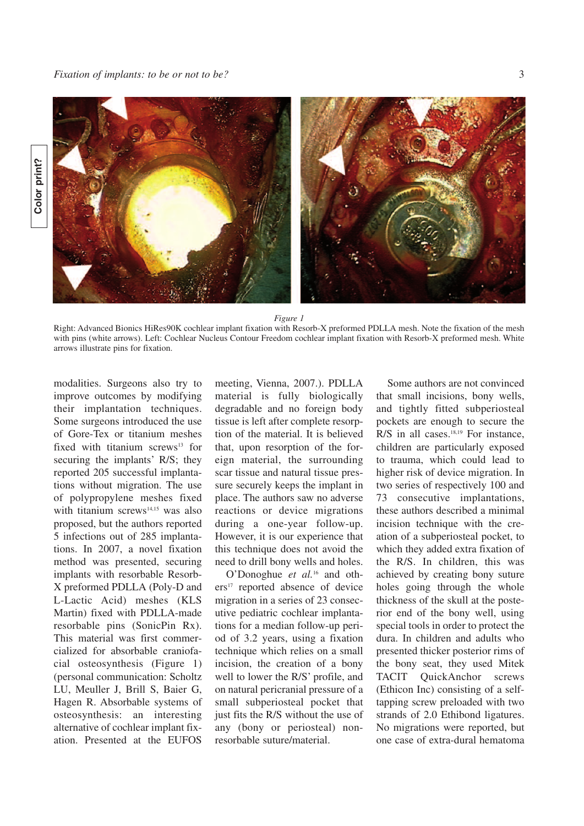



*Figure 1*

Right: Advanced Bionics HiRes90K cochlear implant fixation with Resorb-X preformed PDLLA mesh. Note the fixation of the mesh with pins (white arrows). Left: Cochlear Nucleus Contour Freedom cochlear implant fixation with Resorb-X preformed mesh. White arrows illustrate pins for fixation.

modalities. Surgeons also try to improve outcomes by modifying their implantation techniques. Some surgeons introduced the use of Gore-Tex or titanium meshes fixed with titanium screws $13$  for securing the implants' R/S; they reported 205 successful implantations without migration. The use of polypropylene meshes fixed with titanium screws $14,15$  was also proposed, but the authors reported 5 infections out of 285 implantations. In 2007, a novel fixation method was presented, securing implants with resorbable Resorb-X preformed PDLLA (Poly-D and L-Lactic Acid) meshes (KLS Martin) fixed with PDLLA-made resorbable pins (SonicPin Rx). This material was first commercialized for absorbable craniofacial osteosynthesis (Figure 1) (personal communication: Scholtz LU, Meuller J, Brill S, Baier G, Hagen R. Absorbable systems of osteosynthesis: an interesting alternative of cochlear implant fixation. Presented at the EUFOS

meeting, Vienna, 2007.). PDLLA material is fully biologically degradable and no foreign body tissue is left after complete resorption of the material. It is believed that, upon resorption of the foreign material, the surrounding scar tissue and natural tissue pressure securely keeps the implant in place. The authors saw no adverse reactions or device migrations during a one-year follow-up. However, it is our experience that this technique does not avoid the need to drill bony wells and holes.

O'Donoghue *et al.* <sup>16</sup> and others<sup>17</sup> reported absence of device migration in a series of 23 consecutive pediatric cochlear implantations for a median follow-up period of 3.2 years, using a fixation technique which relies on a small incision, the creation of a bony well to lower the R/S' profile, and on natural pericranial pressure of a small subperiosteal pocket that just fits the R/S without the use of any (bony or periosteal) nonresorbable suture/material.

Some authors are not convinced that small incisions, bony wells, and tightly fitted subperiosteal pockets are enough to secure the R/S in all cases. 18,19 For instance, children are particularly exposed to trauma, which could lead to higher risk of device migration. In two series of respectively 100 and 73 consecutive implantations, these authors described a minimal incision technique with the creation of a subperiosteal pocket, to which they added extra fixation of the R/S. In children, this was achieved by creating bony suture holes going through the whole thickness of the skull at the posterior end of the bony well, using special tools in order to protect the dura. In children and adults who presented thicker posterior rims of the bony seat, they used Mitek TACIT QuickAnchor screws (Ethicon Inc) consisting of a selftapping screw preloaded with two strands of 2.0 Ethibond ligatures. No migrations were reported, but one case of extra-dural hematoma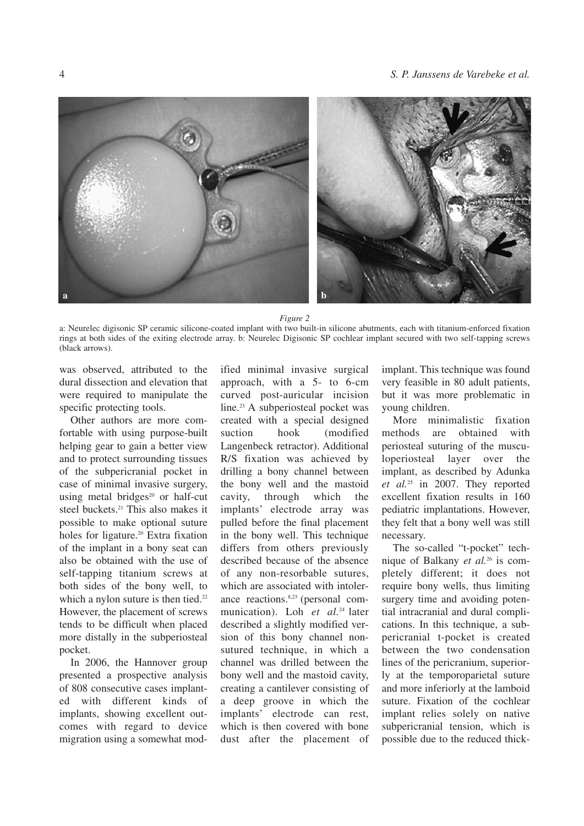

*Figure 2*

a: Neurelec digisonic SP ceramic silicone-coated implant with two built-in silicone abutments, each with titanium-enforced fixation rings at both sides of the exiting electrode array. b: Neurelec Digisonic SP cochlear implant secured with two self-tapping screws (black arrows).

was observed, attributed to the dural dissection and elevation that were required to manipulate the specific protecting tools.

Other authors are more comfortable with using purpose-built helping gear to gain a better view and to protect surrounding tissues of the subpericranial pocket in case of minimal invasive surgery, using metal bridges $20$  or half-cut steel buckets. <sup>21</sup> This also makes it possible to make optional suture holes for ligature. <sup>20</sup> Extra fixation of the implant in a bony seat can also be obtained with the use of self-tapping titanium screws at both sides of the bony well, to which a nylon suture is then tied.<sup>22</sup> However, the placement of screws tends to be difficult when placed more distally in the subperiosteal pocket.

In 2006, the Hannover group presented a prospective analysis of 808 consecutive cases implanted with different kinds of implants, showing excellent outcomes with regard to device migration using a somewhat mod-

ified minimal invasive surgical approach, with a 5- to 6-cm curved post-auricular incision line. <sup>23</sup> A subperiosteal pocket was created with a special designed suction hook (modified Langenbeck retractor). Additional R/S fixation was achieved by drilling a bony channel between the bony well and the mastoid cavity, through which the implants' electrode array was pulled before the final placement in the bony well. This technique differs from others previously described because of the absence of any non-resorbable sutures, which are associated with intolerance reactions. 8,23 (personal communication). Loh *et al.* <sup>24</sup> later described a slightly modified version of this bony channel nonsutured technique, in which a channel was drilled between the bony well and the mastoid cavity, creating a cantilever consisting of a deep groove in which the implants' electrode can rest, which is then covered with bone dust after the placement of implant. This technique was found very feasible in 80 adult patients, but it was more problematic in young children.

More minimalistic fixation methods are obtained with periosteal suturing of the musculoperiosteal layer over the implant, as described by Adunka *et al.* <sup>25</sup> in 2007. They reported excellent fixation results in 160 pediatric implantations. However, they felt that a bony well was still necessary.

The so-called "t-pocket" technique of Balkany *et al.* <sup>26</sup> is completely different; it does not require bony wells, thus limiting surgery time and avoiding potential intracranial and dural complications. In this technique, a subpericranial t-pocket is created between the two condensation lines of the pericranium, superiorly at the temporoparietal suture and more inferiorly at the lamboid suture. Fixation of the cochlear implant relies solely on native subpericranial tension, which is possible due to the reduced thick-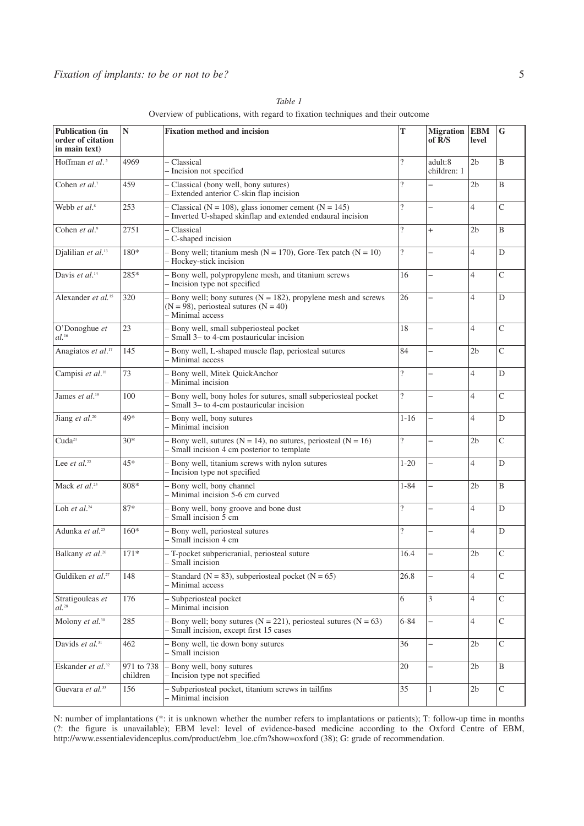| <b>Publication</b> (in<br>order of citation<br>in main text) | $\mathbb{N}$           | <b>Fixation method and incision</b>                                                                                                 | T                        | <b>Migration</b><br>of R/S | <b>EBM</b><br>level | G              |
|--------------------------------------------------------------|------------------------|-------------------------------------------------------------------------------------------------------------------------------------|--------------------------|----------------------------|---------------------|----------------|
| Hoffman et al. <sup>5</sup>                                  | 4969                   | - Classical<br>- Incision not specified                                                                                             | $\overline{\mathcal{L}}$ | adult:8<br>children: 1     | 2 <sub>b</sub>      | B              |
| Cohen et al. <sup>7</sup>                                    | 459                    | - Classical (bony well, bony sutures)<br>- Extended anterior C-skin flap incision                                                   | $\overline{?}$           | $\overline{\phantom{0}}$   | 2 <sub>b</sub>      | B              |
| Webb et al. <sup>8</sup>                                     | 253                    | - Classical ( $N = 108$ ), glass ionomer cement ( $N = 145$ )<br>- Inverted U-shaped skinflap and extended endaural incision        | $\overline{\mathcal{L}}$ | $\overline{\phantom{0}}$   | $\overline{4}$      | $\overline{C}$ |
| Cohen et al.9                                                | 2751                   | - Classical<br>- C-shaped incision                                                                                                  | $\overline{?}$           | $^{+}$                     | 2b                  | B              |
| Djalilian et al. <sup>13</sup>                               | 180*                   | - Bony well; titanium mesh ( $N = 170$ ), Gore-Tex patch ( $N = 10$ )<br>- Hockey-stick incision                                    | $\overline{\mathcal{L}}$ | $\overline{\phantom{0}}$   | $\overline{4}$      | D              |
| Davis et al. <sup>14</sup>                                   | 285*                   | - Bony well, polypropylene mesh, and titanium screws<br>- Incision type not specified                                               | 16                       | $\overline{\phantom{0}}$   | $\overline{4}$      | $\overline{C}$ |
| Alexander et al. <sup>15</sup>                               | 320                    | - Bony well; bony sutures $(N = 182)$ , propylene mesh and screws<br>$(N = 98)$ , periosteal sutures $(N = 40)$<br>- Minimal access | 26                       | —                          | 4                   | D              |
| O'Donoghue et<br>$al.^{16}$                                  | 23                     | - Bony well, small subperiosteal pocket<br>- Small 3- to 4-cm postauricular incision                                                | 18                       | $\overline{\phantom{0}}$   | $\overline{4}$      | $\overline{C}$ |
| Anagiatos et al. <sup>17</sup>                               | 145                    | - Bony well, L-shaped muscle flap, periosteal sutures<br>- Minimal access                                                           | 84                       | $\overline{\phantom{0}}$   | 2 <sub>b</sub>      | $\mathsf{C}$   |
| Campisi et al. <sup>18</sup>                                 | 73                     | - Bony well, Mitek QuickAnchor<br>- Minimal incision                                                                                | $\overline{\phantom{a}}$ | $\overline{\phantom{0}}$   | 4                   | D              |
| James et al. <sup>19</sup>                                   | 100                    | - Bony well, bony holes for sutures, small subperiosteal pocket<br>- Small 3– to 4-cm postauricular incision                        | $\overline{\mathcal{L}}$ | $\overline{\phantom{0}}$   | 4                   | $\overline{C}$ |
| Jiang et al. <sup>20</sup>                                   | 49*                    | - Bony well, bony sutures<br>- Minimal incision                                                                                     | $1 - 16$                 | $\overline{\phantom{0}}$   | 4                   | D              |
| Cuda <sup>21</sup>                                           | $30*$                  | - Bony well, sutures ( $N = 14$ ), no sutures, periosteal ( $N = 16$ )<br>- Small incision 4 cm posterior to template               | $\overline{\phantom{a}}$ | $\overline{\phantom{0}}$   | 2b                  | $\overline{C}$ |
| Lee <i>et al.</i> <sup>22</sup>                              | $45*$                  | - Bony well, titanium screws with nylon sutures<br>- Incision type not specified                                                    | $1 - 20$                 | $\overline{\phantom{0}}$   | $\overline{4}$      | D              |
| Mack et al. <sup>23</sup>                                    | 808*                   | - Bony well, bony channel<br>- Minimal incision 5-6 cm curved                                                                       | $1 - 84$                 | $\overline{\phantom{0}}$   | 2 <sub>b</sub>      | B              |
| Loh et al. $24$                                              | $87*$                  | - Bony well, bony groove and bone dust<br>- Small incision 5 cm                                                                     | $\overline{\mathcal{L}}$ | $\overline{\phantom{0}}$   | 4                   | D              |
| Adunka et al. <sup>25</sup>                                  | $160*$                 | - Bony well, periosteal sutures<br>- Small incision 4 cm                                                                            | $\overline{\mathcal{L}}$ | $\overline{\phantom{0}}$   | $\overline{4}$      | D              |
| Balkany et al. <sup>26</sup>                                 | $171*$                 | - T-pocket subpericranial, periosteal suture<br>- Small incision                                                                    | 16.4                     |                            | 2 <sub>b</sub>      | $\overline{C}$ |
| Guldiken et al. <sup>27</sup>                                | 148                    | - Standard ( $N = 83$ ), subperiosteal pocket ( $N = 65$ )<br>- Minimal access                                                      | 26.8                     | $\overline{\phantom{0}}$   | 4                   | $\mathsf{C}$   |
| Stratigouleas et<br>$al.^{28}$                               | 176                    | - Subperiosteal pocket<br>- Minimal incision                                                                                        | 6                        | 3                          | $\overline{4}$      | $\overline{C}$ |
| Molony et al. <sup>30</sup>                                  | 285                    | - Bony well; bony sutures ( $N = 221$ ), periosteal sutures ( $N = 63$ )<br>- Small incision, except first 15 cases                 | $6 - 84$                 | $\overline{\phantom{0}}$   | 4                   | $\mathsf{C}$   |
| Davids et al. <sup>31</sup>                                  | 462                    | - Bony well, tie down bony sutures<br>- Small incision                                                                              | 36                       | $\overline{\phantom{0}}$   | 2 <sub>b</sub>      | $\mathsf{C}$   |
| Eskander et al. <sup>32</sup>                                | 971 to 738<br>children | - Bony well, bony sutures<br>- Incision type not specified                                                                          | 20                       | $\overline{\phantom{0}}$   | 2 <sub>b</sub>      | $\, {\bf B}$   |
| Guevara et al. <sup>33</sup>                                 | 156                    | - Subperiosteal pocket, titanium screws in tailfins<br>- Minimal incision                                                           | 35                       | $\mathbf{1}$               | 2 <sub>b</sub>      | $\mathsf{C}$   |

*Table 1* Overview of publications, with regard to fixation techniques and their outcome

N: number of implantations (\*: it is unknown whether the number refers to implantations or patients); T: follow-up time in months (?: the figure is unavailable); EBM level: level of evidence-based medicine according to the Oxford Centre of EBM, http://www.essentialevidenceplus.com/product/ebm\_loe.cfm?show=oxford (38); G: grade of recommendation.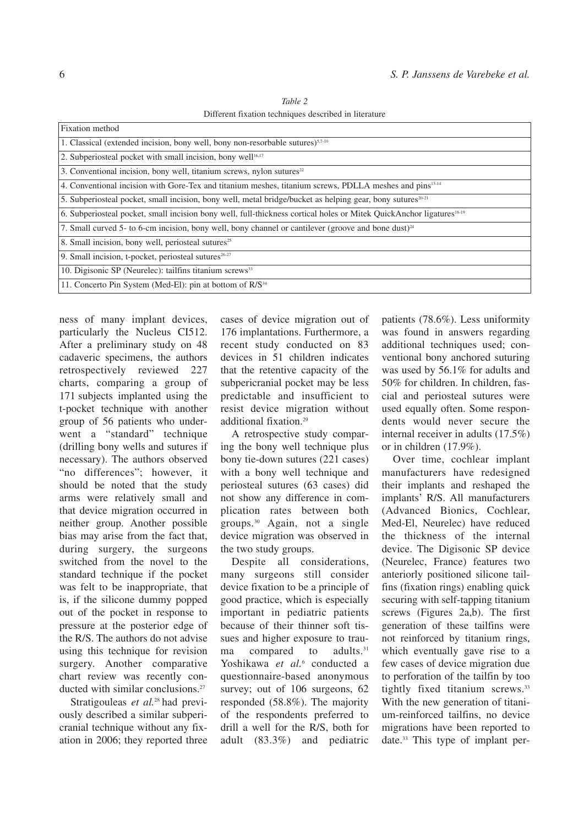*Table 2* Different fixation techniques described in literature

| Fixation method                                                                                                                  |  |  |  |  |
|----------------------------------------------------------------------------------------------------------------------------------|--|--|--|--|
| 1. Classical (extended incision, bony well, bony non-resorbable sutures) $57-10$                                                 |  |  |  |  |
| 2. Subperiosteal pocket with small incision, bony well <sup>16,17</sup>                                                          |  |  |  |  |
| 3. Conventional incision, bony well, titanium screws, nylon sutures $22$                                                         |  |  |  |  |
| 4. Conventional incision with Gore-Tex and titanium meshes, titanium screws, PDLLA meshes and pins <sup>13-14</sup>              |  |  |  |  |
| 5. Subperiosteal pocket, small incision, bony well, metal bridge/bucket as helping gear, bony sutures <sup>20-21</sup>           |  |  |  |  |
| 6. Subperiosteal pocket, small incision bony well, full-thickness cortical holes or Mitek QuickAnchor ligatures <sup>18-19</sup> |  |  |  |  |
| 7. Small curved 5- to 6-cm incision, bony well, bony channel or cantilever (groove and bone dust) <sup>24</sup>                  |  |  |  |  |
| 8. Small incision, bony well, periosteal sutures <sup>25</sup>                                                                   |  |  |  |  |
| 9. Small incision, t-pocket, periosteal sutures <sup>26-27</sup>                                                                 |  |  |  |  |
| 10. Digisonic SP (Neurelec): tailfins titanium screws <sup>33</sup>                                                              |  |  |  |  |
| 11. Concerto Pin System (Med-El): pin at bottom of R/S <sup>34</sup>                                                             |  |  |  |  |

ness of many implant devices, particularly the Nucleus CI512. After a preliminary study on 48 cadaveric specimens, the authors retrospectively reviewed 227 charts, comparing a group of 171 subjects implanted using the t-pocket technique with another group of 56 patients who underwent a "standard" technique (drilling bony wells and sutures if necessary). The authors observed "no differences"; however, it should be noted that the study arms were relatively small and that device migration occurred in neither group. Another possible bias may arise from the fact that, during surgery, the surgeons switched from the novel to the standard technique if the pocket was felt to be inappropriate, that is, if the silicone dummy popped out of the pocket in response to pressure at the posterior edge of the R/S. The authors do not advise using this technique for revision surgery. Another comparative chart review was recently conducted with similar conclusions. 27

Stratigouleas *et al.* <sup>28</sup> had previously described a similar subpericranial technique without any fixation in 2006; they reported three

cases of device migration out of 176 implantations. Furthermore, a recent study conducted on 83 devices in 51 children indicates that the retentive capacity of the subpericranial pocket may be less predictable and insufficient to resist device migration without additional fixation. 29

A retrospective study comparing the bony well technique plus bony tie-down sutures (221 cases) with a bony well technique and periosteal sutures (63 cases) did not show any difference in complication rates between both groups. <sup>30</sup> Again, not a single device migration was observed in the two study groups.

Despite all considerations, many surgeons still consider device fixation to be a principle of good practice, which is especially important in pediatric patients because of their thinner soft tissues and higher exposure to trauma compared to adults.<sup>31</sup> Yoshikawa et al.<sup>6</sup> conducted a questionnaire-based anonymous survey; out of 106 surgeons, 62 responded (58.8%). The majority of the respondents preferred to drill a well for the R/S, both for adult (83.3%) and pediatric patients (78.6%). Less uniformity was found in answers regarding additional techniques used; conventional bony anchored suturing was used by 56.1% for adults and 50% for children. In children, fascial and periosteal sutures were used equally often. Some respondents would never secure the internal receiver in adults (17.5%) or in children (17.9%).

Over time, cochlear implant manufacturers have redesigned their implants and reshaped the implants' R/S. All manufacturers (Advanced Bionics, Cochlear, Med-El, Neurelec) have reduced the thickness of the internal device. The Digisonic SP device (Neurelec, France) features two anteriorly positioned silicone tailfins (fixation rings) enabling quick securing with self-tapping titanium screws (Figures 2a,b). The first generation of these tailfins were not reinforced by titanium rings, which eventually gave rise to a few cases of device migration due to perforation of the tailfin by too tightly fixed titanium screws. 33 With the new generation of titanium-reinforced tailfins, no device migrations have been reported to date. <sup>33</sup> This type of implant per-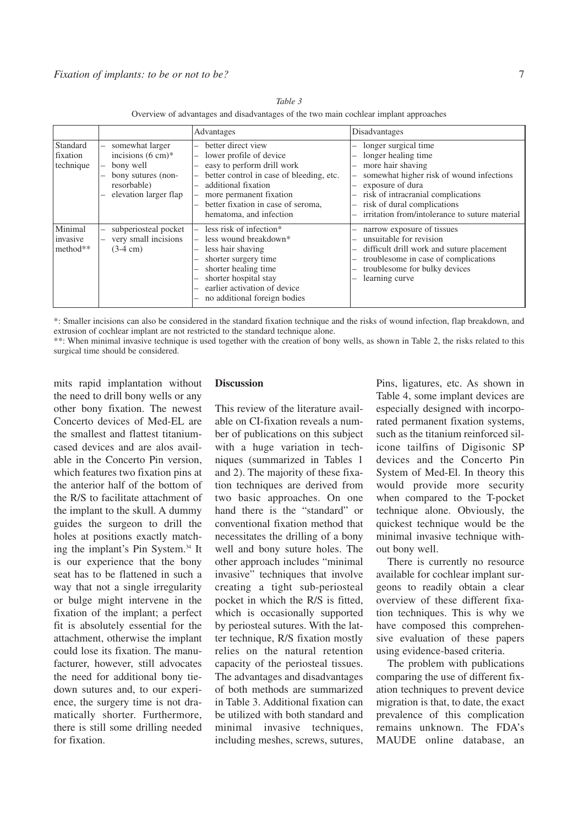|                                   |                                                                                                                            | Advantages                                                                                                                                                                                                                                      | Disadvantages                                                                                                                                                                                                                                           |
|-----------------------------------|----------------------------------------------------------------------------------------------------------------------------|-------------------------------------------------------------------------------------------------------------------------------------------------------------------------------------------------------------------------------------------------|---------------------------------------------------------------------------------------------------------------------------------------------------------------------------------------------------------------------------------------------------------|
| Standard<br>fixation<br>technique | somewhat larger<br>incisions $(6 \text{ cm})^*$<br>bony well<br>bony sutures (non-<br>resorbable)<br>elevation larger flap | better direct view<br>lower profile of device<br>-<br>easy to perform drill work<br>better control in case of bleeding, etc.<br>additional fixation<br>more permanent fixation<br>better fixation in case of seroma,<br>hematoma, and infection | longer surgical time<br>longer healing time<br>more hair shaving<br>somewhat higher risk of wound infections<br>exposure of dura<br>risk of intracranial complications<br>risk of dural complications<br>irritation from/intolerance to suture material |
| Minimal<br>invasive<br>method**   | subperiosteal pocket<br>very small incisions<br>$(3-4 \text{ cm})$                                                         | less risk of infection*<br>less wound breakdown <sup>*</sup><br>less hair shaving<br>shorter surgery time<br>shorter healing time.<br>shorter hospital stay<br>earlier activation of device<br>no additional foreign bodies                     | narrow exposure of tissues<br>unsuitable for revision<br>difficult drill work and suture placement<br>troublesome in case of complications<br>troublesome for bulky devices<br>learning curve                                                           |

*Table 3* Overview of advantages and disadvantages of the two main cochlear implant approaches

\*: Smaller incisions can also be considered in the standard fixation technique and the risks of wound infection, flap breakdown, and extrusion of cochlear implant are not restricted to the standard technique alone.

\*\*: When minimal invasive technique is used together with the creation of bony wells, as shown in Table 2, the risks related to this surgical time should be considered.

mits rapid implantation without the need to drill bony wells or any other bony fixation. The newest Concerto devices of Med-EL are the smallest and flattest titaniumcased devices and are alos available in the Concerto Pin version, which features two fixation pins at the anterior half of the bottom of the R/S to facilitate attachment of the implant to the skull. A dummy guides the surgeon to drill the holes at positions exactly matching the implant's Pin System. <sup>34</sup> It is our experience that the bony seat has to be flattened in such a way that not a single irregularity or bulge might intervene in the fixation of the implant; a perfect fit is absolutely essential for the attachment, otherwise the implant could lose its fixation. The manufacturer, however, still advocates the need for additional bony tiedown sutures and, to our experience, the surgery time is not dramatically shorter. Furthermore, there is still some drilling needed for fixation.

# **Discussion**

This review of the literature available on CI-fixation reveals a number of publications on this subject with a huge variation in techniques (summarized in Tables 1 and 2). The majority of these fixation techniques are derived from two basic approaches. On one hand there is the "standard" or conventional fixation method that necessitates the drilling of a bony well and bony suture holes. The other approach includes "minimal invasive" techniques that involve creating a tight sub-periosteal pocket in which the R/S is fitted, which is occasionally supported by periosteal sutures. With the latter technique, R/S fixation mostly relies on the natural retention capacity of the periosteal tissues. The advantages and disadvantages of both methods are summarized in Table 3. Additional fixation can be utilized with both standard and minimal invasive techniques, including meshes, screws, sutures,

Pins, ligatures, etc. As shown in Table 4, some implant devices are especially designed with incorporated permanent fixation systems, such as the titanium reinforced silicone tailfins of Digisonic SP devices and the Concerto Pin System of Med-El. In theory this would provide more security when compared to the T-pocket technique alone. Obviously, the quickest technique would be the minimal invasive technique without bony well.

There is currently no resource available for cochlear implant surgeons to readily obtain a clear overview of these different fixation techniques. This is why we have composed this comprehensive evaluation of these papers using evidence-based criteria.

The problem with publications comparing the use of different fixation techniques to prevent device migration is that, to date, the exact prevalence of this complication remains unknown. The FDA's MAUDE online database, an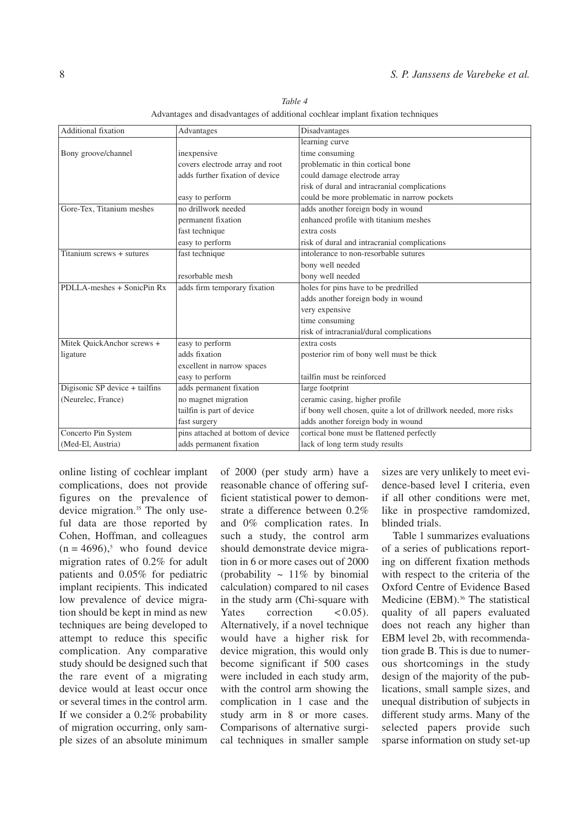| <b>Additional fixation</b>     | Advantages                        | Disadvantages                                                    |  |
|--------------------------------|-----------------------------------|------------------------------------------------------------------|--|
|                                |                                   | learning curve                                                   |  |
| Bony groove/channel            | inexpensive                       | time consuming                                                   |  |
|                                | covers electrode array and root   | problematic in thin cortical bone                                |  |
|                                | adds further fixation of device   | could damage electrode array                                     |  |
|                                |                                   | risk of dural and intracranial complications                     |  |
|                                | easy to perform                   | could be more problematic in narrow pockets                      |  |
| Gore-Tex, Titanium meshes      | no drillwork needed               | adds another foreign body in wound                               |  |
|                                | permanent fixation                | enhanced profile with titanium meshes                            |  |
|                                | fast technique                    | extra costs                                                      |  |
|                                | easy to perform                   | risk of dural and intracranial complications                     |  |
| Titanium screws + sutures      | fast technique                    | intolerance to non-resorbable sutures                            |  |
|                                |                                   | bony well needed                                                 |  |
|                                | resorbable mesh                   | bony well needed                                                 |  |
| PDLLA-meshes + SonicPin Rx     | adds firm temporary fixation      | holes for pins have to be predrilled                             |  |
|                                |                                   | adds another foreign body in wound                               |  |
|                                |                                   | very expensive                                                   |  |
|                                |                                   | time consuming                                                   |  |
|                                |                                   | risk of intracranial/dural complications                         |  |
| Mitek QuickAnchor screws +     | easy to perform                   | extra costs                                                      |  |
| ligature                       | adds fixation                     | posterior rim of bony well must be thick                         |  |
|                                | excellent in narrow spaces        |                                                                  |  |
|                                | easy to perform                   | tailfin must be reinforced                                       |  |
| Digisonic SP device + tailfins | adds permanent fixation           | large footprint                                                  |  |
| (Neurelec, France)             | no magnet migration               | ceramic casing, higher profile                                   |  |
|                                | tailfin is part of device         | if bony well chosen, quite a lot of drillwork needed, more risks |  |
|                                | fast surgery                      | adds another foreign body in wound                               |  |
| Concerto Pin System            | pins attached at bottom of device | cortical bone must be flattened perfectly                        |  |
| (Med-El, Austria)              | adds permanent fixation           | lack of long term study results                                  |  |

*Table 4* Advantages and disadvantages of additional cochlear implant fixation techniques

online listing of cochlear implant complications, does not provide figures on the prevalence of device migration. <sup>35</sup> The only useful data are those reported by Cohen, Hoffman, and colleagues  $(n = 4696)$ <sup>5</sup>, who found device migration rates of 0.2% for adult patients and 0.05% for pediatric implant recipients. This indicated low prevalence of device migration should be kept in mind as new techniques are being developed to attempt to reduce this specific complication. Any comparative study should be designed such that the rare event of a migrating device would at least occur once or several times in the control arm. If we consider a 0.2% probability of migration occurring, only sample sizes of an absolute minimum

of 2000 (per study arm) have a reasonable chance of offering sufficient statistical power to demonstrate a difference between 0.2% and 0% complication rates. In such a study, the control arm should demonstrate device migration in 6 or more cases out of 2000 (probability  $\sim 11\%$  by binomial calculation) compared to nil cases in the study arm (Chi-square with Yates correction  $\lt$  0.05). Alternatively, if a novel technique would have a higher risk for device migration, this would only become significant if 500 cases were included in each study arm, with the control arm showing the complication in 1 case and the study arm in 8 or more cases. Comparisons of alternative surgical techniques in smaller sample

sizes are very unlikely to meet evidence-based level I criteria, even if all other conditions were met, like in prospective ramdomized, blinded trials.

Table 1 summarizes evaluations of a series of publications reporting on different fixation methods with respect to the criteria of the Oxford Centre of Evidence Based Medicine (EBM). <sup>36</sup> The statistical quality of all papers evaluated does not reach any higher than EBM level 2b, with recommendation grade B. This is due to numerous shortcomings in the study design of the majority of the publications, small sample sizes, and unequal distribution of subjects in different study arms. Many of the selected papers provide such sparse information on study set-up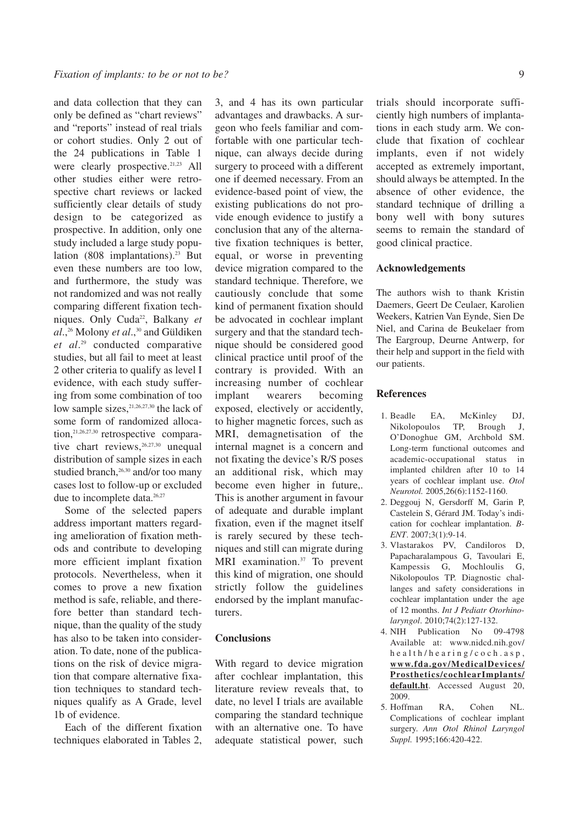and data collection that they can only be defined as "chart reviews" and "reports" instead of real trials or cohort studies. Only 2 out of the 24 publications in Table 1 were clearly prospective. 21,23 All other studies either were retrospective chart reviews or lacked sufficiently clear details of study design to be categorized as prospective. In addition, only one study included a large study population (808 implantations). <sup>23</sup> But even these numbers are too low, and furthermore, the study was not randomized and was not really comparing different fixation techniques. Only Cuda<sup>22</sup>, Balkany et *al*., <sup>26</sup> Molony *et al*., <sup>30</sup> and Güldiken *et al*. <sup>29</sup> conducted comparative studies, but all fail to meet at least 2 other criteria to qualify as level I evidence, with each study suffering from some combination of too low sample sizes, 21,26,27,30 the lack of some form of randomized allocation, 21,26,27,30 retrospective comparative chart reviews, 26,27,30 unequal distribution of sample sizes in each studied branch,<sup>26,30</sup> and/or too many cases lost to follow-up or excluded due to incomplete data. 26,27

Some of the selected papers address important matters regarding amelioration of fixation methods and contribute to developing more efficient implant fixation protocols. Nevertheless, when it comes to prove a new fixation method is safe, reliable, and therefore better than standard technique, than the quality of the study has also to be taken into consideration. To date, none of the publications on the risk of device migration that compare alternative fixation techniques to standard techniques qualify as A Grade, level 1b of evidence.

Each of the different fixation techniques elaborated in Tables 2,

3, and 4 has its own particular advantages and drawbacks. A surgeon who feels familiar and comfortable with one particular technique, can always decide during surgery to proceed with a different one if deemed necessary. From an evidence-based point of view, the existing publications do not provide enough evidence to justify a conclusion that any of the alternative fixation techniques is better, equal, or worse in preventing device migration compared to the standard technique. Therefore, we cautiously conclude that some kind of permanent fixation should be advocated in cochlear implant surgery and that the standard technique should be considered good clinical practice until proof of the contrary is provided. With an increasing number of cochlear implant wearers becoming exposed, electively or accidently, to higher magnetic forces, such as MRI, demagnetisation of the internal magnet is a concern and not fixating the device's R/S poses an additional risk, which may become even higher in future,. This is another argument in favour of adequate and durable implant fixation, even if the magnet itself is rarely secured by these techniques and still can migrate during MRI examination. <sup>37</sup> To prevent this kind of migration, one should strictly follow the guidelines endorsed by the implant manufacturers.

### **Conclusions**

With regard to device migration after cochlear implantation, this literature review reveals that, to date, no level I trials are available comparing the standard technique with an alternative one. To have adequate statistical power, such trials should incorporate sufficiently high numbers of implantations in each study arm. We conclude that fixation of cochlear implants, even if not widely accepted as extremely important, should always be attempted. In the absence of other evidence, the standard technique of drilling a bony well with bony sutures seems to remain the standard of good clinical practice.

# **Acknowledgements**

The authors wish to thank Kristin Daemers, Geert De Ceulaer, Karolien Weekers, Katrien Van Eynde, Sien De Niel, and Carina de Beukelaer from The Eargroup, Deurne Antwerp, for their help and support in the field with our patients.

### **References**

- 1. Beadle EA, McKinley DJ, Nikolopoulos TP, Brough J, O'Donoghue GM, Archbold SM. Long-term functional outcomes and academic-occupational status in implanted children after 10 to 14 years of cochlear implant use. *Otol Neurotol.* 2005,26(6):1152-1160.
- 2. Deggouj N, Gersdorff M, Garin P, Castelein S, Gérard JM. Today's indication for cochlear implantation. *B-ENT*. 2007;3(1):9-14.
- 3. Vlastarakos PV, Candiloros D, Papacharalampous G, Tavoulari E, Kampessis G, Mochloulis G, Nikolopoulos TP. Diagnostic challanges and safety considerations in cochlear implantation under the age of 12 months. *Int J Pediatr Otorhinolaryngol*. 2010;74(2):127-132.
- 4. NIH Publication No 09-4798 Available at: www.nidcd.nih.gov/ h e a l t h / h e a r i n g / c o c h . a s p , **www.fda.gov/MedicalDevices/ Prosthetics/cochlearImplants/ default.ht**. Accessed August 20, 2009.
- 5. Hoffman RA, Cohen NL. Complications of cochlear implant surgery. *Ann Otol Rhinol Laryngol Suppl.* 1995;166:420-422.